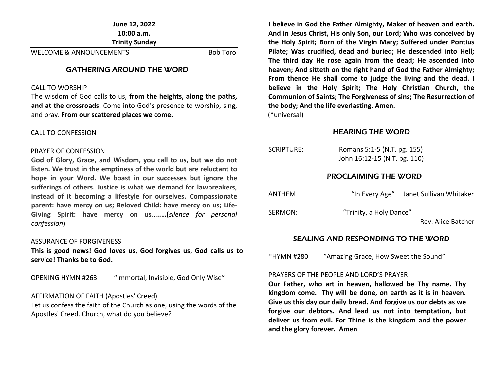**June 12, 2022 10:00 a.m. Trinity Sunday** 

WELCOME & ANNOUNCEMENTS Bob Toro

#### GATHERING AROUND THE WORD

#### CALL TO WORSHIP

The wisdom of God calls to us, **from the heights, along the paths, and at the crossroads.** Come into God's presence to worship, sing, and pray. **From our scattered places we come.**

#### CALL TO CONFESSION

#### PRAYER OF CONFESSION

**God of Glory, Grace, and Wisdom, you call to us, but we do not listen. We trust in the emptiness of the world but are reluctant to hope in your Word. We boast in our successes but ignore the sufferings of others. Justice is what we demand for lawbreakers, instead of it becoming a lifestyle for ourselves. Compassionate parent: have mercy on us; Beloved Child: have mercy on us; Life-Giving Spirit: have mercy on us**...**..…(***silence for personal confession***)**

#### ASSURANCE OF FORGIVENESS

**This is good news! God loves us, God forgives us, God calls us to service! Thanks be to God.**

OPENING HYMN #263 "Immortal, Invisible, God Only Wise"

#### AFFIRMATION OF FAITH (Apostles' Creed)

Let us confess the faith of the Church as one, using the words of the Apostles' Creed. Church, what do you believe?

**I believe in God the Father Almighty, Maker of heaven and earth. And in Jesus Christ, His only Son, our Lord; Who was conceived by the Holy Spirit; Born of the Virgin Mary; Suffered under Pontius Pilate; Was crucified, dead and buried; He descended into Hell; The third day He rose again from the dead; He ascended into heaven; And sitteth on the right hand of God the Father Almighty; From thence He shall come to judge the living and the dead. I believe in the Holy Spirit; The Holy Christian Church, the Communion of Saints; The Forgiveness of sins; The Resurrection of the body; And the life everlasting. Amen.**

(\*universal)

#### HEARING THE WORD

| SCRIPTURE: | Romans 5:1-5 (N.T. pg. 155)<br>John 16:12-15 (N.T. pg. 110) |  |
|------------|-------------------------------------------------------------|--|
|            | <b>PROCLAIMING THE WORD</b>                                 |  |

ANTHEM "In Every Age" Janet Sullivan Whitaker

SERMON: "Trinity, a Holy Dance"

Rev. Alice Batcher

#### SEALING AND RESPONDING TO THE WORD

\*HYMN #280 "Amazing Grace, How Sweet the Sound"

#### PRAYERS OF THE PEOPLE AND LORD'S PRAYER

**Our Father, who art in heaven, hallowed be Thy name. Thy kingdom come. Thy will be done, on earth as it is in heaven. Give us this day our daily bread. And forgive us our debts as we forgive our debtors. And lead us not into temptation, but deliver us from evil. For Thine is the kingdom and the power and the glory forever. Amen**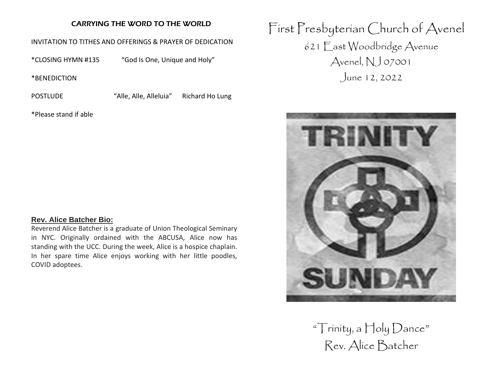## CARRYING THE WORD TO THE WORLD

## INVITATION TO TITHES AND OFFERINGS & PRAYER OF DEDICATION

\*CLOSING HYMN #135 "God Is One, Unique and Holy"

\*BENEDICTION

POSTLUDE "Alle, Alle, Alleluia" Richard Ho Lung

\*Please stand if able

# **Rev. Alice Batcher Bio:**

Reverend Alice Batcher is a graduate of Union Theological Seminary in NYC. Originally ordained with the ABCUSA, Alice now has standing with the UCC. During the week, Alice is a hospice chaplain. In her spare time Alice enjoys working with her little poodles, COVID adoptees.

First Presbyterian Church of Avenel 621 East Woodbridge Avenue Avenel, NJ 07001 June 12, 2022



" $\top$ rinity, a  $\sqcap$ oly  $D$ ance" Rev. Alice Batcher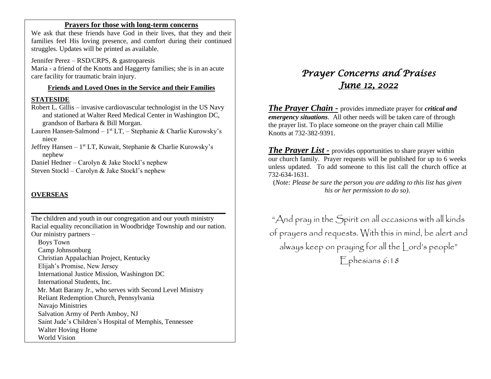## **Prayers for those with long-term concerns**

We ask that these friends have God in their lives, that they and their families feel His loving presence, and comfort during their continued struggles. Updates will be printed as available.

Jennifer Perez – RSD/CRPS, & gastroparesis Maria - a friend of the Knotts and Haggerty families; she is in an acute care facility for traumatic brain injury.

#### **Friends and Loved Ones in the Service and their Families**

#### **STATESIDE**

- Robert L. Gillis invasive cardiovascular technologist in the US Navy and stationed at Walter Reed Medical Center in Washington DC, grandson of Barbara & Bill Morgan.
- Lauren Hansen-Salmond 1<sup>st</sup> LT, Stephanie & Charlie Kurowsky's niece
- Jeffrey Hansen 1<sup>st</sup> LT, Kuwait, Stephanie & Charlie Kurowsky's nephew

Daniel Hedner – Carolyn & Jake Stockl's nephew

Steven Stockl – Carolyn & Jake Stockl's nephew

## **OVERSEAS**

The children and youth in our congregation and our youth ministry Racial equality reconciliation in Woodbridge Township and our nation. Our ministry partners –

**\_\_\_\_\_\_\_\_\_\_\_\_\_\_\_\_\_\_\_\_\_\_\_\_\_\_\_\_\_\_\_\_\_\_\_\_\_\_\_\_\_\_\_\_\_\_\_\_\_\_\_\_\_\_\_\_\_**

 Boys Town Camp Johnsonburg Christian Appalachian Project, Kentucky Elijah's Promise, New Jersey International Justice Mission, Washington DC International Students, Inc. Mr. Matt Barany Jr., who serves with Second Level Ministry Reliant Redemption Church, Pennsylvania Navajo Ministries Salvation Army of Perth Amboy, NJ Saint Jude's Children's Hospital of Memphis, Tennessee Walter Hoving Home World Vision

# *Prayer Concerns and Praises June 12, 2022*

*The Prayer Chain -* provides immediate prayer for *critical and emergency situations*. All other needs will be taken care of through the prayer list. To place someone on the prayer chain call Millie Knotts at 732-382-9391.

*The Prayer List -* provides opportunities to share prayer within our church family. Prayer requests will be published for up to 6 weeks unless updated. To add someone to this list call the church office at 732-634-1631.

(*Note: Please be sure the person you are adding to this list has given his or her permission to do so).*

"And pray in the Spirit on all occasions with all kinds of prayers and requests. With this in mind, be alert and always keep on praying for all the Lord's people" Ephesians 6:18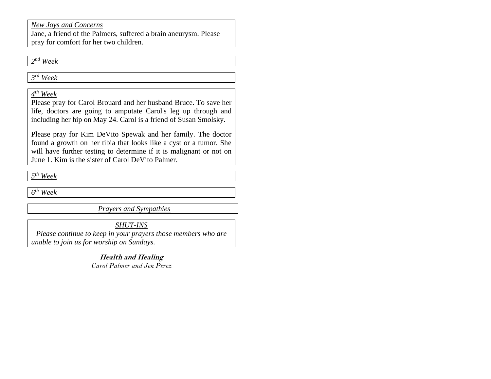# *New Joys and Concerns*

Jane, a friend of the Palmers, suffered a brain aneurysm. Please pray for comfort for her two children.

*2 nd Week*

*3 rd Week*

*4 th Week*

Please pray for Carol Brouard and her husband Bruce. To save her life, doctors are going to amputate Carol's leg up through and including her hip on May 24. Carol is a friend of Susan Smolsky.

Please pray for Kim DeVito Spewak and her family. The doctor found a growth on her tibia that looks like a cyst or a tumor. She will have further testing to determine if it is malignant or not on June 1. Kim is the sister of Carol DeVito Palmer.

*5 th Week*

*6 th Week* 

*Prayers and Sympathies*

*SHUT-INS*

*Please continue to keep in your prayers those members who are unable to join us for worship on Sundays.* 

> **Health and Healing** *Carol Palmer and Jen Perez*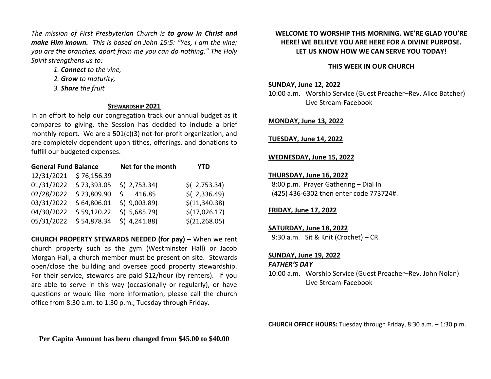*The mission of First Presbyterian Church is to grow in Christ and make Him known. This is based on John 15:5: "Yes, I am the vine; you are the branches, apart from me you can do nothing." The Holy Spirit strengthens us to:* 

- *1. Connect to the vine,*
- *2. Grow to maturity,*
- *3. Share the fruit*

#### **STEWARDSHIP 2021**

In an effort to help our congregation track our annual budget as it compares to giving, the Session has decided to include a brief monthly report. We are a 501(c)(3) not-for-profit organization, and are completely dependent upon tithes, offerings, and donations to fulfill our budgeted expenses.

| <b>General Fund Balance</b> |             | Net for the month | YTD            |
|-----------------------------|-------------|-------------------|----------------|
| 12/31/2021                  | \$76,156.39 |                   |                |
| 01/31/2022                  | \$73,393.05 | $$$ (2,753.34)    | $$$ (2,753.34) |
| 02/28/2022                  | \$73,809.90 | 416.85<br>S.      | $$$ (2,336.49) |
| 03/31/2022                  | \$64,806.01 | $$$ (9,003.89)    | \$(11,340.38)  |
| 04/30/2022                  | \$59,120.22 | $$$ ( 5,685.79)   | \$(17,026.17)  |
| 05/31/2022                  | \$54,878.34 | $$$ (4,241.88)    | \$(21, 268.05) |

**CHURCH PROPERTY STEWARDS NEEDED (for pay) –** When we rent church property such as the gym (Westminster Hall) or Jacob Morgan Hall, a church member must be present on site. Stewards open/close the building and oversee good property stewardship. For their service, stewards are paid \$12/hour (by renters). If you are able to serve in this way (occasionally or regularly), or have questions or would like more information, please call the church office from 8:30 a.m. to 1:30 p.m., Tuesday through Friday.

## **WELCOME TO WORSHIP THIS MORNING. WE'RE GLAD YOU'RE HERE! WE BELIEVE YOU ARE HERE FOR A DIVINE PURPOSE. LET US KNOW HOW WE CAN SERVE YOU TODAY!**

### **THIS WEEK IN OUR CHURCH**

#### **SUNDAY, June 12, 2022**

10:00 a.m. Worship Service (Guest Preacher–Rev. Alice Batcher) Live Stream-Facebook

#### **MONDAY, June 13, 2022**

#### **TUESDAY, June 14, 2022**

#### **WEDNESDAY, June 15, 2022**

#### **THURSDAY, June 16, 2022**

 8:00 p.m. Prayer Gathering – Dial In (425) 436-6302 then enter code 773724#.

## **FRIDAY, June 17, 2022**

# **SATURDAY, June 18, 2022**

9:30 a.m. Sit & Knit (Crochet) – CR

#### **SUNDAY, June 19, 2022**

*FATHER'S DAY*

10:00 a.m. Worship Service (Guest Preacher–Rev. John Nolan) Live Stream-Facebook

**CHURCH OFFICE HOURS:** Tuesday through Friday, 8:30 a.m. – 1:30 p.m.

**Per Capita Amount has been changed from \$45.00 to \$40.00**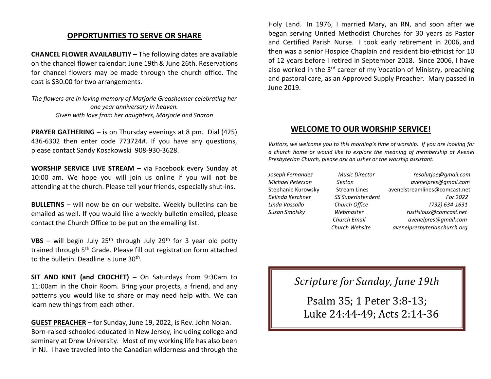## **OPPORTUNITIES TO SERVE OR SHARE**

**CHANCEL FLOWER AVAILABLITIY –** The following dates are available on the chancel flower calendar: June 19th& June 26th. Reservations for chancel flowers may be made through the church office. The cost is \$30.00 for two arrangements.

*The flowers are in loving memory of Marjorie Greasheimer celebrating her one year anniversary in heaven. Given with love from her daughters, Marjorie and Sharon*

**PRAYER GATHERING –** is on Thursday evenings at 8 pm. Dial (425) 436-6302 then enter code 773724#. If you have any questions, please contact Sandy Kosakowski 908-930-3628.

**WORSHIP SERVICE LIVE STREAM –** via Facebook every Sunday at 10:00 am. We hope you will join us online if you will not be attending at the church. Please tell your friends, especially shut-ins.

**BULLETINS** – will now be on our website. Weekly bulletins can be emailed as well. If you would like a weekly bulletin emailed, please contact the Church Office to be put on the emailing list.

**VBS** – will begin July  $25<sup>th</sup>$  through July  $29<sup>th</sup>$  for 3 year old potty trained through 5<sup>th</sup> Grade. Please fill out registration form attached to the bulletin. Deadline is June 30<sup>th</sup>.

**SIT AND KNIT (and CROCHET) –** On Saturdays from 9:30am to 11:00am in the Choir Room. Bring your projects, a friend, and any patterns you would like to share or may need help with. We can learn new things from each other.

**GUEST PREACHER –** for Sunday, June 19, 2022, is Rev. John Nolan. Born-raised-schooled-educated in New Jersey, including college and seminary at Drew University. Most of my working life has also been in NJ. I have traveled into the Canadian wilderness and through the Holy Land. In 1976, I married Mary, an RN, and soon after we began serving United Methodist Churches for 30 years as Pastor and Certified Parish Nurse. I took early retirement in 2006, and then was a senior Hospice Chaplain and resident bio-ethicist for 10 of 12 years before I retired in September 2018. Since 2006, I have also worked in the 3<sup>rd</sup> career of my Vocation of Ministry, preaching and pastoral care, as an Approved Supply Preacher. Mary passed in June 2019.

## **WELCOME TO OUR WORSHIP SERVICE!**

*Visitors, we welcome you to this morning's time of worship. If you are looking for a church home or would like to explore the meaning of membership at Avenel Presbyterian Church, please ask an usher or the worship assistant.* 

- 
- 
- *Joseph Fernandez Music Director resolutjoe@gmail.com Michael Peterson Sexton avenelpres@gmail.com* Stephanie Kurowsky Stream Lines [avenelstreamlines@comcast.net](mailto:avenelstreamlines@comcast.net) *Belinda Kerchner SS Superintendent For 2022 Linda Vassallo Church Office (732) 634-1631 Susan Smolsky Webmaster rustisioux@comcast.net Church Email avenelpres@gmail.com Church Website avenelpresbyterianchurch.org*

# *Scripture for Sunday, June 19th*

Psalm 35; 1 Peter 3:8-13; Luke 24:44-49; Acts 2:14-36